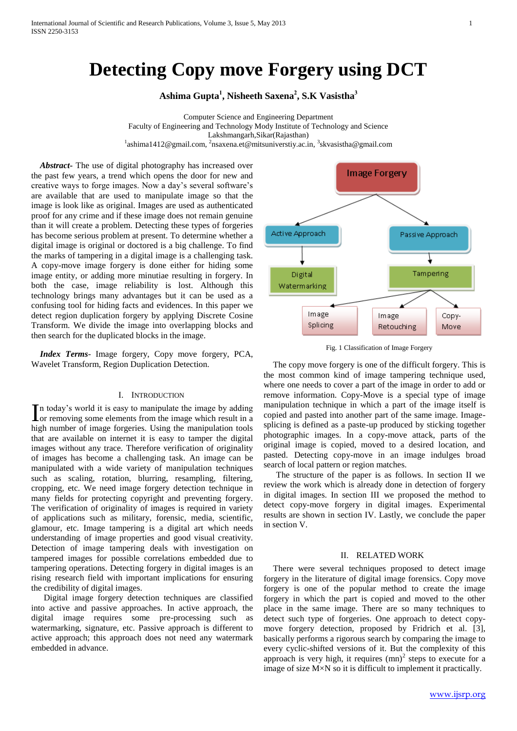# **Detecting Copy move Forgery using DCT**

**Ashima Gupta<sup>1</sup> , Nisheeth Saxena<sup>2</sup> , S.K Vasistha<sup>3</sup>**

Computer Science and Engineering Department Faculty of Engineering and Technology Mody Institute of Technology and Science Lakshmangarh,Sikar(Rajasthan) <sup>1</sup>ashima1412@gmail.com, <sup>2</sup>nsaxena.et@mitsuniverstiy.ac.in, <sup>3</sup>skvasistha@gmail.com

 *Abstract***-** The use of digital photography has increased over the past few years, a trend which opens the door for new and creative ways to forge images. Now a day's several software's are available that are used to manipulate image so that the image is look like as original. Images are used as authenticated proof for any crime and if these image does not remain genuine than it will create a problem. Detecting these types of forgeries has become serious problem at present. To determine whether a digital image is original or doctored is a big challenge. To find the marks of tampering in a digital image is a challenging task. A copy-move image forgery is done either for hiding some image entity, or adding more minutiae resulting in forgery. In both the case, image reliability is lost. Although this technology brings many advantages but it can be used as a confusing tool for hiding facts and evidences. In this paper we detect region duplication forgery by applying Discrete Cosine Transform. We divide the image into overlapping blocks and then search for the duplicated blocks in the image.

 *Index Terms*- Image forgery, Copy move forgery, PCA, Wavelet Transform, Region Duplication Detection.

## I. INTRODUCTION

n today's world it is easy to manipulate the image by adding In today's world it is easy to manipulate the image by adding<br>or removing some elements from the image which result in a high number of image forgeries. Using the manipulation tools that are available on internet it is easy to tamper the digital images without any trace. Therefore verification of originality of images has become a challenging task. An image can be manipulated with a wide variety of manipulation techniques such as scaling, rotation, blurring, resampling, filtering, cropping, etc. We need image forgery detection technique in many fields for protecting copyright and preventing forgery. The verification of originality of images is required in variety of applications such as military, forensic, media, scientific, glamour, etc. Image tampering is a digital art which needs understanding of image properties and good visual creativity. Detection of image tampering deals with investigation on tampered images for possible correlations embedded due to tampering operations. Detecting forgery in digital images is an rising research field with important implications for ensuring the credibility of digital images.

Digital image forgery detection techniques are classified into active and passive approaches. In active approach, the digital image requires some pre-processing such as watermarking, signature, etc. Passive approach is different to active approach; this approach does not need any watermark embedded in advance.



Fig. 1 Classification of Image Forgery

The copy move forgery is one of the difficult forgery. This is the most common kind of image tampering technique used, where one needs to cover a part of the image in order to add or remove information. Copy-Move is a special type of image manipulation technique in which a part of the image itself is copied and pasted into another part of the same image. Imagesplicing is defined as a paste-up produced by sticking together photographic images. In a copy-move attack, parts of the original image is copied, moved to a desired location, and pasted. Detecting copy-move in an image indulges broad search of local pattern or region matches.

The structure of the paper is as follows. In section II we review the work which is already done in detection of forgery in digital images. In section III we proposed the method to detect copy-move forgery in digital images. Experimental results are shown in section IV. Lastly, we conclude the paper in section V.

#### II. RELATED WORK

There were several techniques proposed to detect image forgery in the literature of digital image forensics. Copy move forgery is one of the popular method to create the image forgery in which the part is copied and moved to the other place in the same image. There are so many techniques to detect such type of forgeries. One approach to detect copymove forgery detection, proposed by Fridrich et al. [3], basically performs a rigorous search by comparing the image to every cyclic-shifted versions of it. But the complexity of this approach is very high, it requires  $(mn)^2$  steps to execute for a image of size M×N so it is difficult to implement it practically.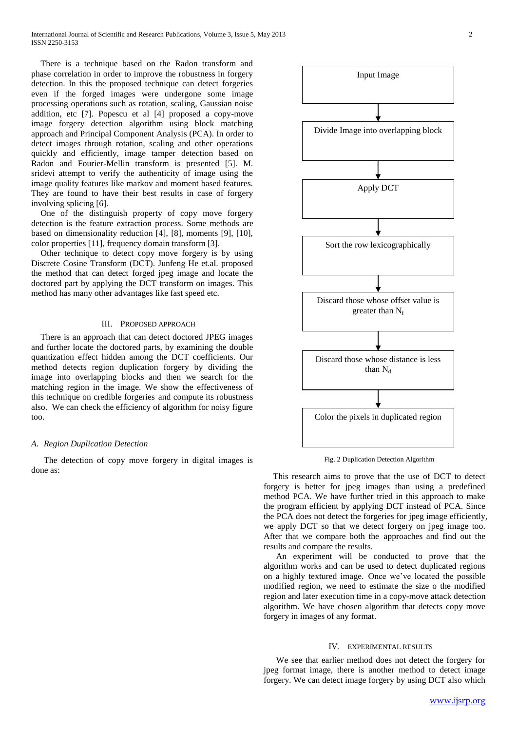There is a technique based on the Radon transform and phase correlation in order to improve the robustness in forgery detection. In this the proposed technique can detect forgeries even if the forged images were undergone some image processing operations such as rotation, scaling, Gaussian noise addition, etc [7]. Popescu et al [4] proposed a copy-move image forgery detection algorithm using block matching approach and Principal Component Analysis (PCA). In order to detect images through rotation, scaling and other operations quickly and efficiently, image tamper detection based on Radon and Fourier-Mellin transform is presented [5]. M. sridevi attempt to verify the authenticity of image using the image quality features like markov and moment based features. They are found to have their best results in case of forgery involving splicing [6].

One of the distinguish property of copy move forgery detection is the feature extraction process. Some methods are based on dimensionality reduction [4], [8], moments [9], [10], color properties [11], frequency domain transform [3].

Other technique to detect copy move forgery is by using Discrete Cosine Transform (DCT). Junfeng He et.al. proposed the method that can detect forged jpeg image and locate the doctored part by applying the DCT transform on images. This method has many other advantages like fast speed etc.

#### III. PROPOSED APPROACH

There is an approach that can detect doctored JPEG images and further locate the doctored parts, by examining the double quantization effect hidden among the DCT coefficients. Our method detects region duplication forgery by dividing the image into overlapping blocks and then we search for the matching region in the image. We show the effectiveness of this technique on credible forgeries and compute its robustness also. We can check the efficiency of algorithm for noisy figure too.

## *A. Region Duplication Detection*

The detection of copy move forgery in digital images is done as:



Fig. 2 Duplication Detection Algorithm

This research aims to prove that the use of DCT to detect forgery is better for jpeg images than using a predefined method PCA. We have further tried in this approach to make the program efficient by applying DCT instead of PCA. Since the PCA does not detect the forgeries for jpeg image efficiently, we apply DCT so that we detect forgery on jpeg image too. After that we compare both the approaches and find out the results and compare the results.

An experiment will be conducted to prove that the algorithm works and can be used to detect duplicated regions on a highly textured image. Once we've located the possible modified region, we need to estimate the size o the modified region and later execution time in a copy-move attack detection algorithm. We have chosen algorithm that detects copy move forgery in images of any format.

## IV. EXPERIMENTAL RESULTS

We see that earlier method does not detect the forgery for jpeg format image, there is another method to detect image forgery. We can detect image forgery by using DCT also which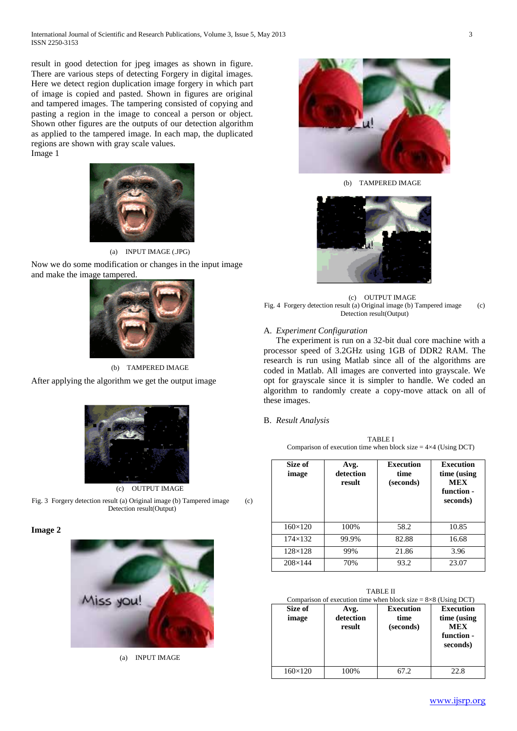result in good detection for jpeg images as shown in figure. There are various steps of detecting Forgery in digital images. Here we detect region duplication image forgery in which part of image is copied and pasted. Shown in figures are original and tampered images. The tampering consisted of copying and pasting a region in the image to conceal a person or object. Shown other figures are the outputs of our detection algorithm as applied to the tampered image. In each map, the duplicated regions are shown with gray scale values. Image 1



(a) INPUT IMAGE (.JPG)

Now we do some modification or changes in the input image and make the image tampered.



(b) TAMPERED IMAGE After applying the algorithm we get the output image



(c) OUTPUT IMAGE

Fig. 3 Forgery detection result (a) Original image (b) Tampered image (c) Detection result(Output)

**Image 2**



(a) INPUT IMAGE



(b) TAMPERED IMAGE



(c) OUTPUT IMAGE Fig. 4 Forgery detection result (a) Original image (b) Tampered image (c) Detection result(Output)

## A. *Experiment Configuration*

The experiment is run on a 32-bit dual core machine with a processor speed of 3.2GHz using 1GB of DDR2 RAM. The research is run using Matlab since all of the algorithms are coded in Matlab. All images are converted into grayscale. We opt for grayscale since it is simpler to handle. We coded an algorithm to randomly create a copy-move attack on all of these images.

#### B. *Result Analysis*

TABLE I Comparison of execution time when block size  $= 4 \times 4$  (Using DCT)

| Size of<br>image | Avg.<br>detection<br>result | Execution<br>time<br>(seconds) | <b>Execution</b><br>time (using<br><b>MEX</b><br>function -<br>seconds) |
|------------------|-----------------------------|--------------------------------|-------------------------------------------------------------------------|
| $160 \times 120$ | 100%                        | 58.2                           | 10.85                                                                   |
| $174 \times 132$ | 99.9%                       | 82.88                          | 16.68                                                                   |
| $128\times128$   | 99%                         | 21.86                          | 3.96                                                                    |
| $208 \times 144$ | 70%                         | 93.2                           | 23.07                                                                   |

| TABLE II<br>Comparison of execution time when block size = $8\times8$ (Using DCT) |                             |                                       |                                                                         |  |  |  |
|-----------------------------------------------------------------------------------|-----------------------------|---------------------------------------|-------------------------------------------------------------------------|--|--|--|
| Size of<br>image                                                                  | Avg.<br>detection<br>result | <b>Execution</b><br>time<br>(seconds) | <b>Execution</b><br>time (using<br><b>MEX</b><br>function -<br>seconds) |  |  |  |
| $160 \times 120$                                                                  | 100%                        | 67.2                                  | 22.8                                                                    |  |  |  |